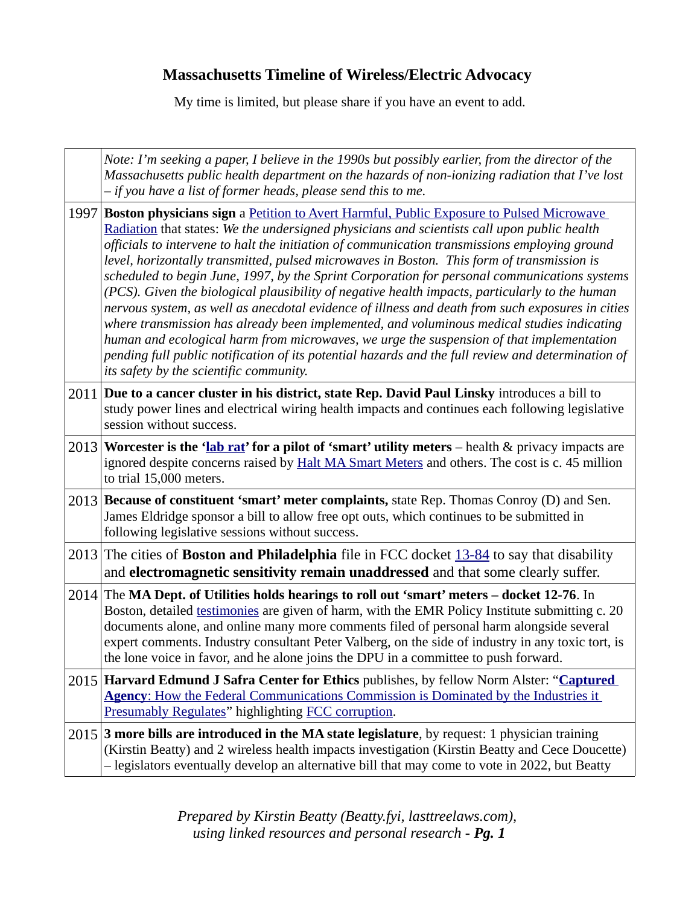## **Massachusetts Timeline of Wireless/Electric Advocacy**

My time is limited, but please share if you have an event to add.

|      | Note: I'm seeking a paper, I believe in the 1990s but possibly earlier, from the director of the<br>Massachusetts public health department on the hazards of non-ionizing radiation that I've lost<br>- if you have a list of former heads, please send this to me.                                                                                                                                                                                                                                                                                                                                                                                                                                                                                                                                                                                                                                                                                                                                                                    |
|------|----------------------------------------------------------------------------------------------------------------------------------------------------------------------------------------------------------------------------------------------------------------------------------------------------------------------------------------------------------------------------------------------------------------------------------------------------------------------------------------------------------------------------------------------------------------------------------------------------------------------------------------------------------------------------------------------------------------------------------------------------------------------------------------------------------------------------------------------------------------------------------------------------------------------------------------------------------------------------------------------------------------------------------------|
| 1997 | Boston physicians sign a Petition to Avert Harmful, Public Exposure to Pulsed Microwave<br>Radiation that states: We the undersigned physicians and scientists call upon public health<br>officials to intervene to halt the initiation of communication transmissions employing ground<br>level, horizontally transmitted, pulsed microwaves in Boston. This form of transmission is<br>scheduled to begin June, 1997, by the Sprint Corporation for personal communications systems<br>(PCS). Given the biological plausibility of negative health impacts, particularly to the human<br>nervous system, as well as anecdotal evidence of illness and death from such exposures in cities<br>where transmission has already been implemented, and voluminous medical studies indicating<br>human and ecological harm from microwaves, we urge the suspension of that implementation<br>pending full public notification of its potential hazards and the full review and determination of<br>its safety by the scientific community. |
|      | 2011 Due to a cancer cluster in his district, state Rep. David Paul Linsky introduces a bill to<br>study power lines and electrical wiring health impacts and continues each following legislative<br>session without success.                                                                                                                                                                                                                                                                                                                                                                                                                                                                                                                                                                                                                                                                                                                                                                                                         |
| 2013 | Worcester is the 'lab rat' for a pilot of 'smart' utility meters - health & privacy impacts are<br>ignored despite concerns raised by Halt MA Smart Meters and others. The cost is c. 45 million<br>to trial 15,000 meters.                                                                                                                                                                                                                                                                                                                                                                                                                                                                                                                                                                                                                                                                                                                                                                                                            |
|      | 2013 Because of constituent 'smart' meter complaints, state Rep. Thomas Conroy (D) and Sen.<br>James Eldridge sponsor a bill to allow free opt outs, which continues to be submitted in<br>following legislative sessions without success.                                                                                                                                                                                                                                                                                                                                                                                                                                                                                                                                                                                                                                                                                                                                                                                             |
|      | 2013 The cities of Boston and Philadelphia file in FCC docket 13-84 to say that disability<br>and electromagnetic sensitivity remain unaddressed and that some clearly suffer.                                                                                                                                                                                                                                                                                                                                                                                                                                                                                                                                                                                                                                                                                                                                                                                                                                                         |
| 2014 | The MA Dept. of Utilities holds hearings to roll out 'smart' meters - docket 12-76. In<br>Boston, detailed testimonies are given of harm, with the EMR Policy Institute submitting c. 20<br>documents alone, and online many more comments filed of personal harm alongside several<br>expert comments. Industry consultant Peter Valberg, on the side of industry in any toxic tort, is<br>the lone voice in favor, and he alone joins the DPU in a committee to push forward                                                                                                                                                                                                                                                                                                                                                                                                                                                                                                                                                         |
|      | 2015 Harvard Edmund J Safra Center for Ethics publishes, by fellow Norm Alster: "Captured<br><b>Agency:</b> How the Federal Communications Commission is Dominated by the Industries it<br>Presumably Regulates" highlighting FCC corruption.                                                                                                                                                                                                                                                                                                                                                                                                                                                                                                                                                                                                                                                                                                                                                                                          |
|      | $2015$ 3 more bills are introduced in the MA state legislature, by request: 1 physician training<br>(Kirstin Beatty) and 2 wireless health impacts investigation (Kirstin Beatty and Cece Doucette)<br>- legislators eventually develop an alternative bill that may come to vote in 2022, but Beatty                                                                                                                                                                                                                                                                                                                                                                                                                                                                                                                                                                                                                                                                                                                                  |

*Prepared by Kirstin Beatty (Beatty.fyi, lasttreelaws.com), using linked resources and personal research - Pg. 1*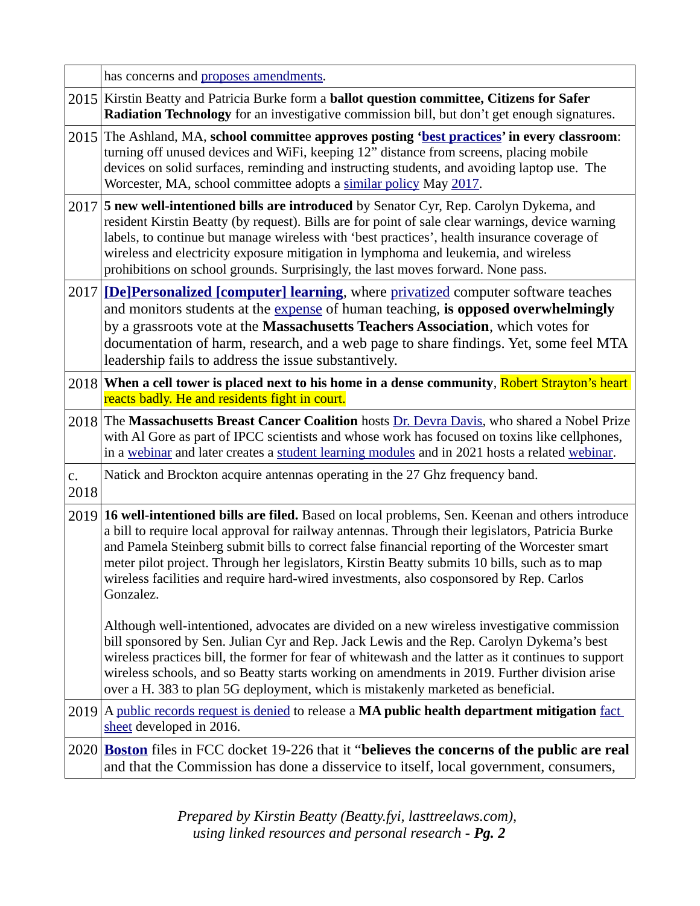|            | has concerns and proposes amendments.                                                                                                                                                                                                                                                                                                                                                                                                                                                                        |
|------------|--------------------------------------------------------------------------------------------------------------------------------------------------------------------------------------------------------------------------------------------------------------------------------------------------------------------------------------------------------------------------------------------------------------------------------------------------------------------------------------------------------------|
|            | 2015 Kirstin Beatty and Patricia Burke form a <b>ballot question committee, Citizens for Safer</b><br>Radiation Technology for an investigative commission bill, but don't get enough signatures.                                                                                                                                                                                                                                                                                                            |
|            | 2015 The Ashland, MA, school committee approves posting 'best practices' in every classroom:<br>turning off unused devices and WiFi, keeping 12" distance from screens, placing mobile<br>devices on solid surfaces, reminding and instructing students, and avoiding laptop use. The<br>Worcester, MA, school committee adopts a similar policy May 2017.                                                                                                                                                   |
|            | 2017 5 new well-intentioned bills are introduced by Senator Cyr, Rep. Carolyn Dykema, and<br>resident Kirstin Beatty (by request). Bills are for point of sale clear warnings, device warning<br>labels, to continue but manage wireless with 'best practices', health insurance coverage of<br>wireless and electricity exposure mitigation in lymphoma and leukemia, and wireless<br>prohibitions on school grounds. Surprisingly, the last moves forward. None pass.                                      |
| 2017       | [De]Personalized [computer] learning, where privatized computer software teaches<br>and monitors students at the expense of human teaching, is opposed overwhelmingly<br>by a grassroots vote at the Massachusetts Teachers Association, which votes for<br>documentation of harm, research, and a web page to share findings. Yet, some feel MTA<br>leadership fails to address the issue substantively.                                                                                                    |
|            | 2018   When a cell tower is placed next to his home in a dense community, Robert Strayton's heart<br>reacts badly. He and residents fight in court.                                                                                                                                                                                                                                                                                                                                                          |
|            | 2018 The Massachusetts Breast Cancer Coalition hosts Dr. Devra Davis, who shared a Nobel Prize<br>with Al Gore as part of IPCC scientists and whose work has focused on toxins like cellphones,<br>in a webinar and later creates a student learning modules and in 2021 hosts a related webinar.                                                                                                                                                                                                            |
| C.<br>2018 | Natick and Brockton acquire antennas operating in the 27 Ghz frequency band.                                                                                                                                                                                                                                                                                                                                                                                                                                 |
| 2019       | 16 well-intentioned bills are filed. Based on local problems, Sen. Keenan and others introduce<br>a bill to require local approval for railway antennas. Through their legislators, Patricia Burke<br>and Pamela Steinberg submit bills to correct false financial reporting of the Worcester smart<br>meter pilot project. Through her legislators, Kirstin Beatty submits 10 bills, such as to map<br>wireless facilities and require hard-wired investments, also cosponsored by Rep. Carlos<br>Gonzalez. |
|            | Although well-intentioned, advocates are divided on a new wireless investigative commission<br>bill sponsored by Sen. Julian Cyr and Rep. Jack Lewis and the Rep. Carolyn Dykema's best<br>wireless practices bill, the former for fear of whitewash and the latter as it continues to support<br>wireless schools, and so Beatty starts working on amendments in 2019. Further division arise<br>over a H. 383 to plan 5G deployment, which is mistakenly marketed as beneficial.                           |
| 2019       | A public records request is denied to release a MA public health department mitigation fact<br>sheet developed in 2016.                                                                                                                                                                                                                                                                                                                                                                                      |
|            | 2020 Boston files in FCC docket 19-226 that it "believes the concerns of the public are real<br>and that the Commission has done a disservice to itself, local government, consumers,                                                                                                                                                                                                                                                                                                                        |
|            |                                                                                                                                                                                                                                                                                                                                                                                                                                                                                                              |

*Prepared by Kirstin Beatty (Beatty.fyi, lasttreelaws.com), using linked resources and personal research - Pg. 2*